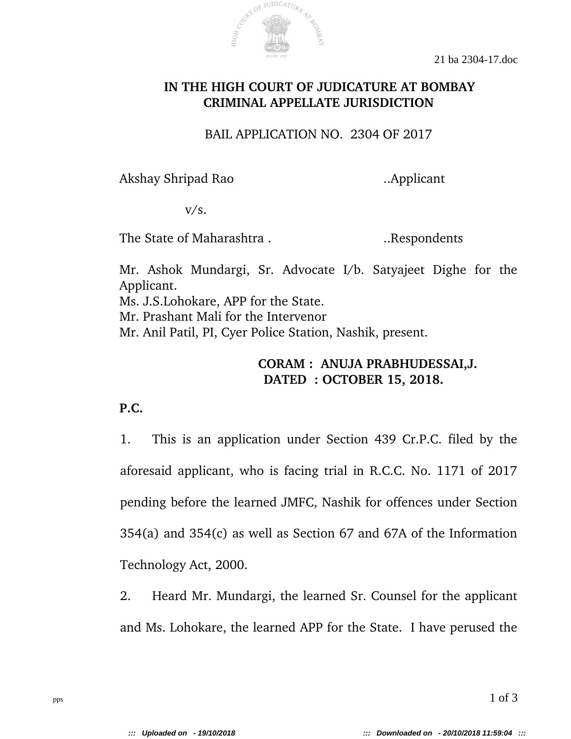21 ba 2304-17.doc



## **IN THE HIGH COURT OF JUDICATURE AT BOMBAY CRIMINAL APPELLATE JURISDICTION**

BAIL APPLICATION NO. 2304 OF 2017

Akshay Shripad Rao ..Applicant

v/s.

The State of Maharashtra . ..Respondents

Mr. Ashok Mundargi, Sr. Advocate I/b. Satyajeet Dighe for the Applicant. Ms. J.S.Lohokare, APP for the State. Mr. Prashant Mali for the Intervenor Mr. Anil Patil, PI, Cyer Police Station, Nashik, present.

## **CORAM : ANUJA PRABHUDESSAI,J. DATED : OCTOBER 15, 2018.**

**P.C.**

1. This is an application under Section 439 Cr.P.C. filed by the aforesaid applicant, who is facing trial in R.C.C. No. 1171 of 2017 pending before the learned JMFC, Nashik for offences under Section 354(a) and 354(c) as well as Section 67 and 67A of the Information Technology Act, 2000.

2. Heard Mr. Mundargi, the learned Sr. Counsel for the applicant and Ms. Lohokare, the learned APP for the State. I have perused the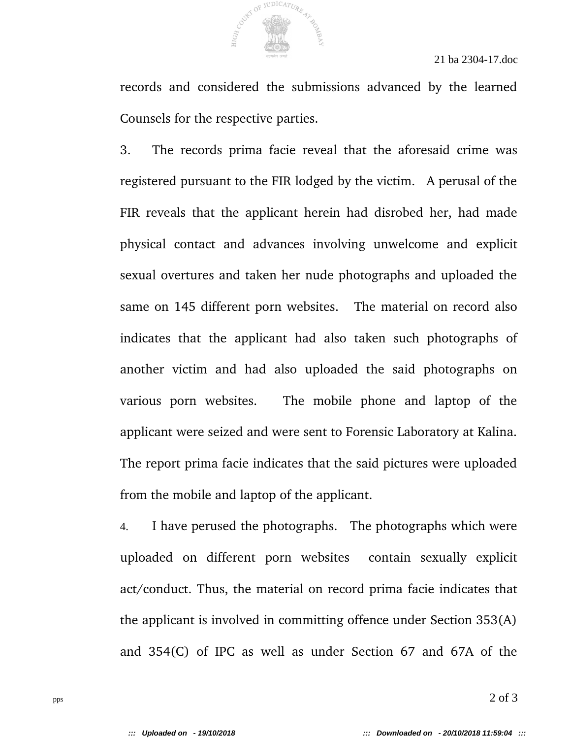

records and considered the submissions advanced by the learned Counsels for the respective parties.

3. The records prima facie reveal that the aforesaid crime was registered pursuant to the FIR lodged by the victim. A perusal of the FIR reveals that the applicant herein had disrobed her, had made physical contact and advances involving unwelcome and explicit sexual overtures and taken her nude photographs and uploaded the same on 145 different porn websites. The material on record also indicates that the applicant had also taken such photographs of another victim and had also uploaded the said photographs on various porn websites. The mobile phone and laptop of the applicant were seized and were sent to Forensic Laboratory at Kalina. The report prima facie indicates that the said pictures were uploaded from the mobile and laptop of the applicant.

4. I have perused the photographs. The photographs which were uploaded on different porn websites contain sexually explicit act/conduct. Thus, the material on record prima facie indicates that the applicant is involved in committing offence under Section 353(A) and 354(C) of IPC as well as under Section 67 and 67A of the